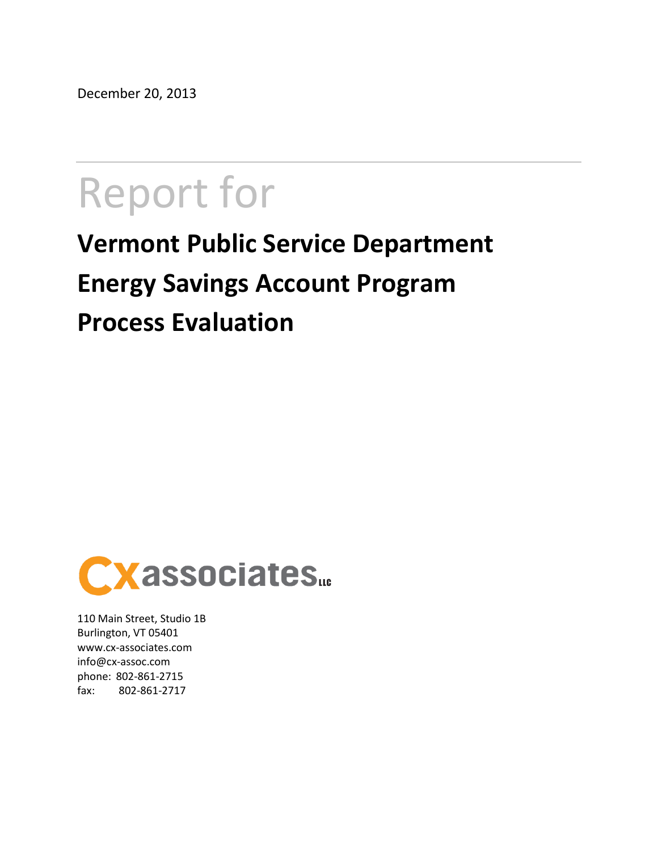December 20, 2013

# Report for

## **Vermont Public Service Department Energy Savings Account Program Process Evaluation**



110 Main Street, Studio 1B Burlington, VT 05401 www.cx-associates.com info@cx-assoc.com phone: 802-861-2715 fax: 802-861-2717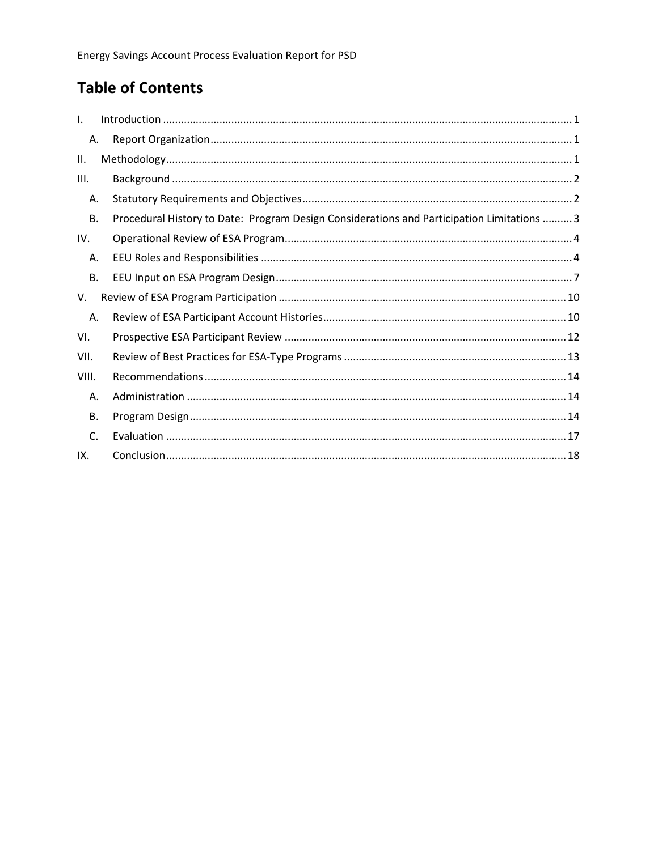## **Table of Contents**

| $\mathbf{L}$   |                                                                                            |
|----------------|--------------------------------------------------------------------------------------------|
| Α.             |                                                                                            |
| П.             |                                                                                            |
| III.           |                                                                                            |
| А.             |                                                                                            |
| <b>B.</b>      | Procedural History to Date: Program Design Considerations and Participation Limitations  3 |
| IV.            |                                                                                            |
| Α.             |                                                                                            |
| <b>B.</b>      |                                                                                            |
| V.             |                                                                                            |
| Α.             |                                                                                            |
| VI.            |                                                                                            |
| VII.           |                                                                                            |
| VIII.          |                                                                                            |
| Α.             |                                                                                            |
| <b>B.</b>      |                                                                                            |
| $\mathsf{C}$ . |                                                                                            |
| IX.            |                                                                                            |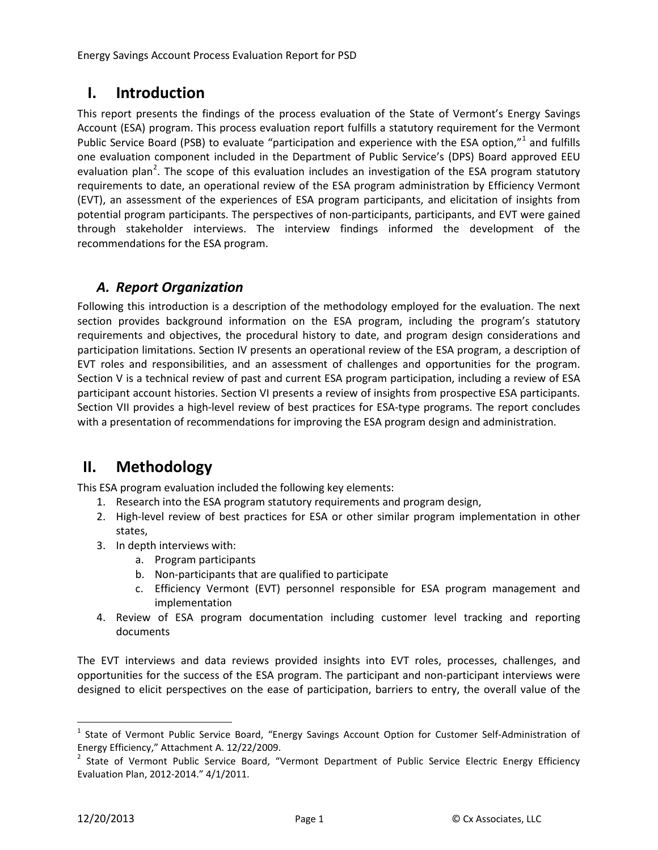## <span id="page-2-0"></span>**I. Introduction**

This report presents the findings of the process evaluation of the State of Vermont's Energy Savings Account (ESA) program. This process evaluation report fulfills a statutory requirement for the Vermont Public Service Board (PSB) to evaluate "participation and experience with the ESA option,"<sup>[1](#page-2-3)</sup> and fulfills one evaluation component included in the Department of Public Service's (DPS) Board approved EEU evaluation plan<sup>[2](#page-2-4)</sup>. The scope of this evaluation includes an investigation of the ESA program statutory requirements to date, an operational review of the ESA program administration by Efficiency Vermont (EVT), an assessment of the experiences of ESA program participants, and elicitation of insights from potential program participants. The perspectives of non-participants, participants, and EVT were gained through stakeholder interviews. The interview findings informed the development of the recommendations for the ESA program.

## <span id="page-2-1"></span>*A. Report Organization*

Following this introduction is a description of the methodology employed for the evaluation. The next section provides background information on the ESA program, including the program's statutory requirements and objectives, the procedural history to date, and program design considerations and participation limitations. Section IV presents an operational review of the ESA program, a description of EVT roles and responsibilities, and an assessment of challenges and opportunities for the program. Section [V](#page-11-0) is a technical review of past and current ESA program participation, including a review of ESA participant account histories. Section [VI](#page-13-0) presents a review of insights from prospective ESA participants. Section [VII](#page-14-0) provides a high-level review of best practices for ESA-type programs. The report concludes with a presentation of recommendations for improving the ESA program design and administration.

## <span id="page-2-2"></span>**II. Methodology**

This ESA program evaluation included the following key elements:

- 1. Research into the ESA program statutory requirements and program design,
- 2. High-level review of best practices for ESA or other similar program implementation in other states,
- 3. In depth interviews with:
	- a. Program participants
	- b. Non-participants that are qualified to participate
	- c. Efficiency Vermont (EVT) personnel responsible for ESA program management and implementation
- 4. Review of ESA program documentation including customer level tracking and reporting documents

The EVT interviews and data reviews provided insights into EVT roles, processes, challenges, and opportunities for the success of the ESA program. The participant and non-participant interviews were designed to elicit perspectives on the ease of participation, barriers to entry, the overall value of the

<span id="page-2-3"></span><sup>&</sup>lt;sup>1</sup> State of Vermont Public Service Board, "Energy Savings Account Option for Customer Self-Administration of

<span id="page-2-4"></span>[Energy Efficiency," Attachment A. 12/22/2009.](http://psb.vermont.gov/sites/psb/files/ESA_Order_attachment.pdf)<br><sup>2</sup> State of Vermont Public Service Board, "Vermont Department of Public Service Electric Energy Efficiency [Evaluation Plan, 2012-2014." 4/1/2011.](http://psb.vermont.gov/sites/psb/files/projects/EEU/drp/4-1-11DPSEEUEvaluationPlan2012-2014.pdf)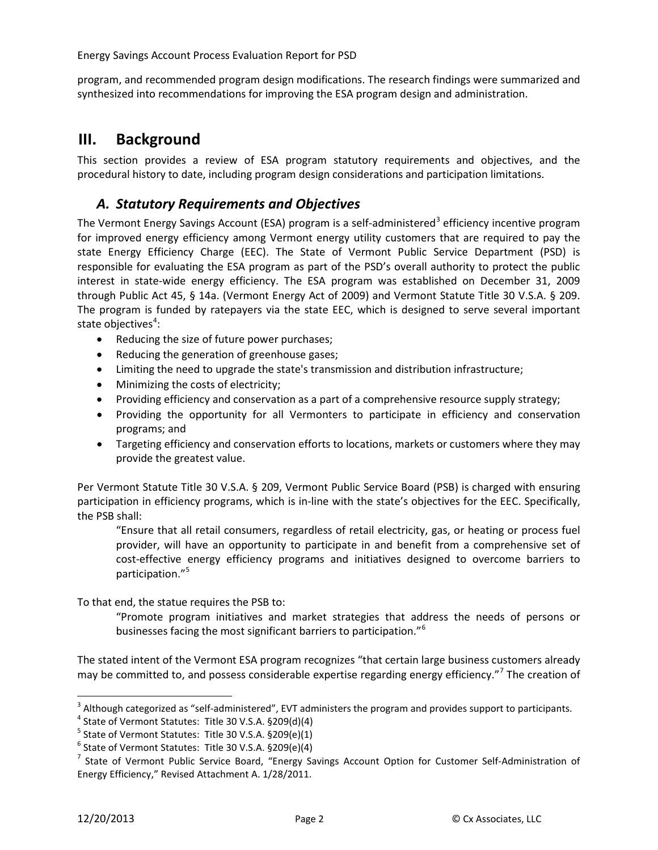program, and recommended program design modifications. The research findings were summarized and synthesized into recommendations for improving the ESA program design and administration.

## <span id="page-3-0"></span>**III. Background**

This section provides a review of ESA program statutory requirements and objectives, and the procedural history to date, including program design considerations and participation limitations.

#### <span id="page-3-1"></span>*A. Statutory Requirements and Objectives*

The Vermont Energy Savings Account (ESA) program is a self-administered<sup>[3](#page-3-2)</sup> efficiency incentive program for improved energy efficiency among Vermont energy utility customers that are required to pay the state Energy Efficiency Charge (EEC). The State of Vermont Public Service Department (PSD) is responsible for evaluating the ESA program as part of the PSD's overall authority to protect the public interest in state-wide energy efficiency. The ESA program was established on December 31, 2009 through Public Act 45, § 14a. (Vermont Energy Act of 2009) and Vermont Statute Title 30 V.S.A. § 209. The program is funded by ratepayers via the state EEC, which is designed to serve several important state objectives<sup>[4](#page-3-3)</sup>:

- Reducing the size of future power purchases;
- Reducing the generation of greenhouse gases;
- Limiting the need to upgrade the state's transmission and distribution infrastructure;
- Minimizing the costs of electricity;
- Providing efficiency and conservation as a part of a comprehensive resource supply strategy;
- Providing the opportunity for all Vermonters to participate in efficiency and conservation programs; and
- Targeting efficiency and conservation efforts to locations, markets or customers where they may provide the greatest value.

Per Vermont Statute Title 30 V.S.A. § 209, Vermont Public Service Board (PSB) is charged with ensuring participation in efficiency programs, which is in-line with the state's objectives for the EEC. Specifically, the PSB shall:

"Ensure that all retail consumers, regardless of retail electricity, gas, or heating or process fuel provider, will have an opportunity to participate in and benefit from a comprehensive set of cost-effective energy efficiency programs and initiatives designed to overcome barriers to participation."<sup>[5](#page-3-4)</sup>

To that end, the statue requires the PSB to:

"Promote program initiatives and market strategies that address the needs of persons or businesses facing the most significant barriers to participation."<sup>[6](#page-3-5)</sup>

The stated intent of the Vermont ESA program recognizes "that certain large business customers already may be committed to, and possess considerable expertise regarding energy efficiency."<sup>[7](#page-3-6)</sup> The creation of

<span id="page-3-4"></span>

<span id="page-3-6"></span><span id="page-3-5"></span>

<span id="page-3-3"></span><span id="page-3-2"></span><sup>&</sup>lt;sup>3</sup> Although categorized as "self-administered", EVT administers the program and provides support to participants.<br>
<sup>4</sup> State of Vermont Statutes: Title 30 V.S.A. §209(d)(4)<br>
<sup>5</sup> State of Vermont Statutes: Title 30 V.S.A. Energy Efficiency," Revised Attachment A. 1/28/2011.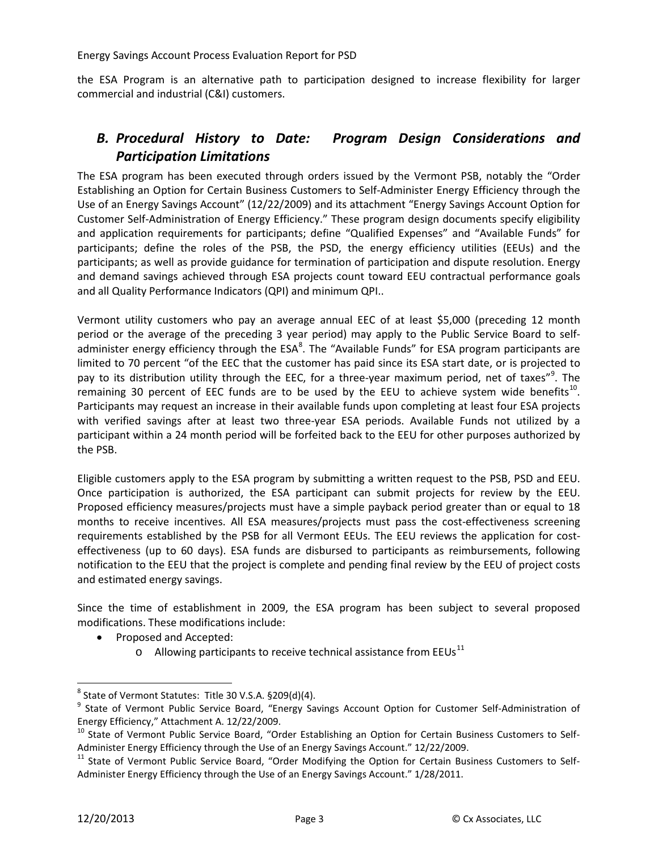the ESA Program is an alternative path to participation designed to increase flexibility for larger commercial and industrial (C&I) customers.

## <span id="page-4-0"></span>*B. Procedural History to Date: Program Design Considerations and Participation Limitations*

The ESA program has been executed through orders issued by the Vermont PSB, notably the "Order Establishing an Option for Certain Business Customers to Self-Administer Energy Efficiency through the Use of an Energy Savings Account" (12/22/2009) and its attachment "Energy Savings Account Option for Customer Self-Administration of Energy Efficiency." These program design documents specify eligibility and application requirements for participants; define "Qualified Expenses" and "Available Funds" for participants; define the roles of the PSB, the PSD, the energy efficiency utilities (EEUs) and the participants; as well as provide guidance for termination of participation and dispute resolution. Energy and demand savings achieved through ESA projects count toward EEU contractual performance goals and all Quality Performance Indicators (QPI) and minimum QPI..

Vermont utility customers who pay an average annual EEC of at least \$5,000 (preceding 12 month period or the average of the preceding 3 year period) may apply to the Public Service Board to selfadminister energy efficiency through the  $\mathsf{ESA}^8$  $\mathsf{ESA}^8$ . The "Available Funds" for ESA program participants are limited to 70 percent "of the EEC that the customer has paid since its ESA start date, or is projected to pay to its distribution utility through the EEC, for a three-year maximum period, net of taxes"<sup>[9](#page-4-2)</sup>. The remaining 30 percent of EEC funds are to be used by the EEU to achieve system wide benefits<sup>[10](#page-4-3)</sup>. Participants may request an increase in their available funds upon completing at least four ESA projects with verified savings after at least two three-year ESA periods. Available Funds not utilized by a participant within a 24 month period will be forfeited back to the EEU for other purposes authorized by the PSB.

Eligible customers apply to the ESA program by submitting a written request to the PSB, PSD and EEU. Once participation is authorized, the ESA participant can submit projects for review by the EEU. Proposed efficiency measures/projects must have a simple payback period greater than or equal to 18 months to receive incentives. All ESA measures/projects must pass the cost-effectiveness screening requirements established by the PSB for all Vermont EEUs. The EEU reviews the application for costeffectiveness (up to 60 days). ESA funds are disbursed to participants as reimbursements, following notification to the EEU that the project is complete and pending final review by the EEU of project costs and estimated energy savings.

Since the time of establishment in 2009, the ESA program has been subject to several proposed modifications. These modifications include:

- Proposed and Accepted:
	- $\circ$  Allowing participants to receive technical assistance from EEUs<sup>[11](#page-4-4)</sup>

<span id="page-4-1"></span> $8$  State of Vermont Statutes: Title 30 V.S.A. §209(d)(4).

<span id="page-4-2"></span><sup>&</sup>lt;sup>9</sup> State of Vermont Public Service Board, "Energy Savings Account Option for Customer Self-Administration of Energy Efficiency," Attachment A. 12/22/2009.

<span id="page-4-3"></span><sup>&</sup>lt;sup>10</sup> State of Vermont Public Service Board, "Order Establishing an Option for Certain Business Customers to Self-<br>Administer Energy Efficiency through the Use of an Energy Savings Account." 12/22/2009.

<span id="page-4-4"></span><sup>&</sup>lt;sup>11</sup> State of Vermont Public Service Board, "Order Modifying the Option for Certain Business Customers to Self-Administer Energy Efficiency through the Use of an Energy Savings Account." 1/28/2011.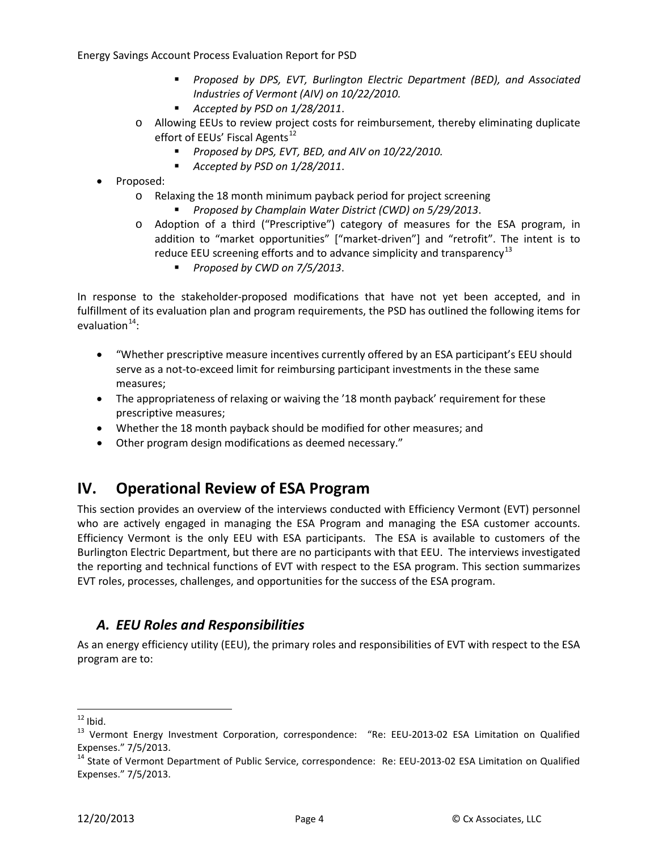- *Proposed by DPS, EVT, Burlington Electric Department (BED), and Associated Industries of Vermont (AIV) on 10/22/2010.*
- *Accepted by PSD on 1/28/2011*.
- o Allowing EEUs to review project costs for reimbursement, thereby eliminating duplicate effort of EEUs' Fiscal Agents<sup>[12](#page-5-2)</sup>
	- *Proposed by DPS, EVT, BED, and AIV on 10/22/2010.*
	- *Accepted by PSD on 1/28/2011*.
- Proposed:
	- o Relaxing the 18 month minimum payback period for project screening
		- *Proposed by Champlain Water District (CWD) on 5/29/2013*.
	- o Adoption of a third ("Prescriptive") category of measures for the ESA program, in addition to "market opportunities" ["market-driven"] and "retrofit". The intent is to reduce EEU screening efforts and to advance simplicity and transparency<sup>[13](#page-5-3)</sup>
		- *Proposed by CWD on 7/5/2013*.

In response to the stakeholder-proposed modifications that have not yet been accepted, and in fulfillment of its evaluation plan and program requirements, the PSD has outlined the following items for evaluation $14$ :

- "Whether prescriptive measure incentives currently offered by an ESA participant's EEU should serve as a not-to-exceed limit for reimbursing participant investments in the these same measures;
- The appropriateness of relaxing or waiving the '18 month payback' requirement for these prescriptive measures;
- Whether the 18 month payback should be modified for other measures; and
- Other program design modifications as deemed necessary."

## <span id="page-5-0"></span>**IV. Operational Review of ESA Program**

This section provides an overview of the interviews conducted with Efficiency Vermont (EVT) personnel who are actively engaged in managing the ESA Program and managing the ESA customer accounts. Efficiency Vermont is the only EEU with ESA participants. The ESA is available to customers of the Burlington Electric Department, but there are no participants with that EEU. The interviews investigated the reporting and technical functions of EVT with respect to the ESA program. This section summarizes EVT roles, processes, challenges, and opportunities for the success of the ESA program.

#### <span id="page-5-1"></span>*A. EEU Roles and Responsibilities*

As an energy efficiency utility (EEU), the primary roles and responsibilities of EVT with respect to the ESA program are to:

<span id="page-5-3"></span><span id="page-5-2"></span><sup>&</sup>lt;sup>12</sup> Ibid.<br><sup>13</sup> Vermont Energy Investment Corporation, correspondence: "Re: EEU-2013-02 ESA Limitation on Qualified

<span id="page-5-4"></span>Expenses." 7/5/2013.<br><sup>14</sup> State of Vermont Department of Public Service, correspondence: Re: EEU-2013-02 ESA Limitation on Qualified Expenses." 7/5/2013.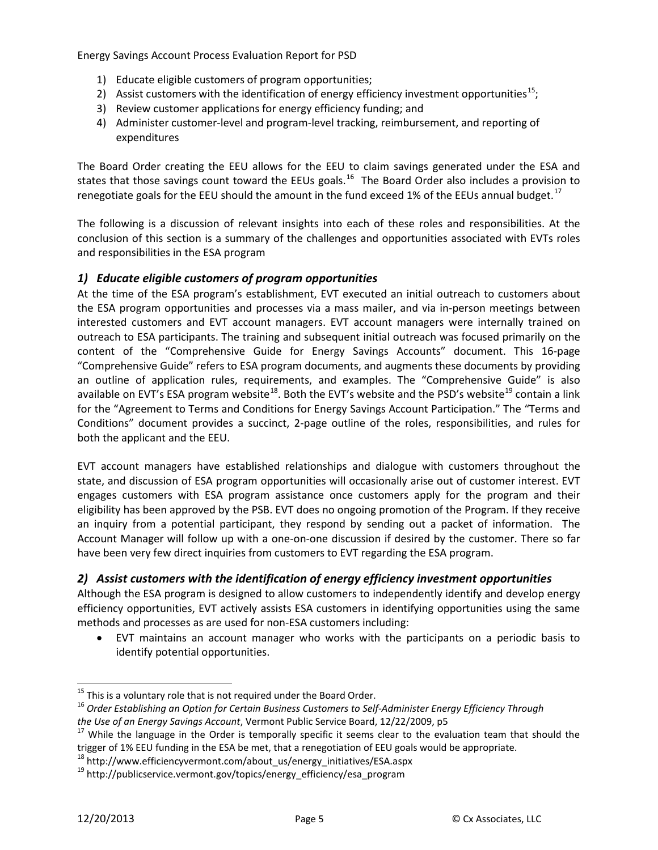- 1) Educate eligible customers of program opportunities;
- 2) Assist customers with the identification of energy efficiency investment opportunities<sup>[15](#page-6-0)</sup>;
- 3) Review customer applications for energy efficiency funding; and
- 4) Administer customer-level and program-level tracking, reimbursement, and reporting of expenditures

The Board Order creating the EEU allows for the EEU to claim savings generated under the ESA and states that those savings count toward the EEUs goals.<sup>16</sup> The Board Order also includes a provision to renegotiate goals for the EEU should the amount in the fund exceed 1% of the EEUs annual budget.<sup>[17](#page-6-2)</sup>

The following is a discussion of relevant insights into each of these roles and responsibilities. At the conclusion of this section is a summary of the challenges and opportunities associated with EVTs roles and responsibilities in the ESA program

#### *1) Educate eligible customers of program opportunities*

At the time of the ESA program's establishment, EVT executed an initial outreach to customers about the ESA program opportunities and processes via a mass mailer, and via in-person meetings between interested customers and EVT account managers. EVT account managers were internally trained on outreach to ESA participants. The training and subsequent initial outreach was focused primarily on the content of the "Comprehensive Guide for Energy Savings Accounts" document. This 16-page "Comprehensive Guide" refers to ESA program documents, and augments these documents by providing an outline of application rules, requirements, and examples. The "Comprehensive Guide" is also available on EVT's ESA program website<sup>18</sup>. Both the EVT's website and the PSD's website<sup>[19](#page-6-4)</sup> contain a link for the "Agreement to Terms and Conditions for Energy Savings Account Participation." The "Terms and Conditions" document provides a succinct, 2-page outline of the roles, responsibilities, and rules for both the applicant and the EEU.

EVT account managers have established relationships and dialogue with customers throughout the state, and discussion of ESA program opportunities will occasionally arise out of customer interest. EVT engages customers with ESA program assistance once customers apply for the program and their eligibility has been approved by the PSB. EVT does no ongoing promotion of the Program. If they receive an inquiry from a potential participant, they respond by sending out a packet of information. The Account Manager will follow up with a one-on-one discussion if desired by the customer. There so far have been very few direct inquiries from customers to EVT regarding the ESA program.

#### *2) Assist customers with the identification of energy efficiency investment opportunities*

Although the ESA program is designed to allow customers to independently identify and develop energy efficiency opportunities, EVT actively assists ESA customers in identifying opportunities using the same methods and processes as are used for non-ESA customers including:

• EVT maintains an account manager who works with the participants on a periodic basis to identify potential opportunities.

<span id="page-6-0"></span><sup>&</sup>lt;sup>15</sup> This is a voluntary role that is not required under the Board Order.<br><sup>16</sup> Order Establishing an Option for Certain Business Customers to Self-Administer Energy Efficiency Through

<span id="page-6-2"></span><span id="page-6-1"></span>*the Use of an Energy Savings Account*, Vermont Public Service Board, 12/22/2009, p5<br><sup>17</sup> While the language in the Order is temporally specific it seems clear to the evaluation team that should the trigger of 1% EEU funding in the ESA be met, that a renegotiation of EEU goals would be appropriate.

<span id="page-6-4"></span><span id="page-6-3"></span> $18$  http://www.efficiencyvermont.com/about\_us/energy\_initiatives/ESA.aspx 19 http://publicservice.vermont.gov/topics/energy\_efficiency/esa\_program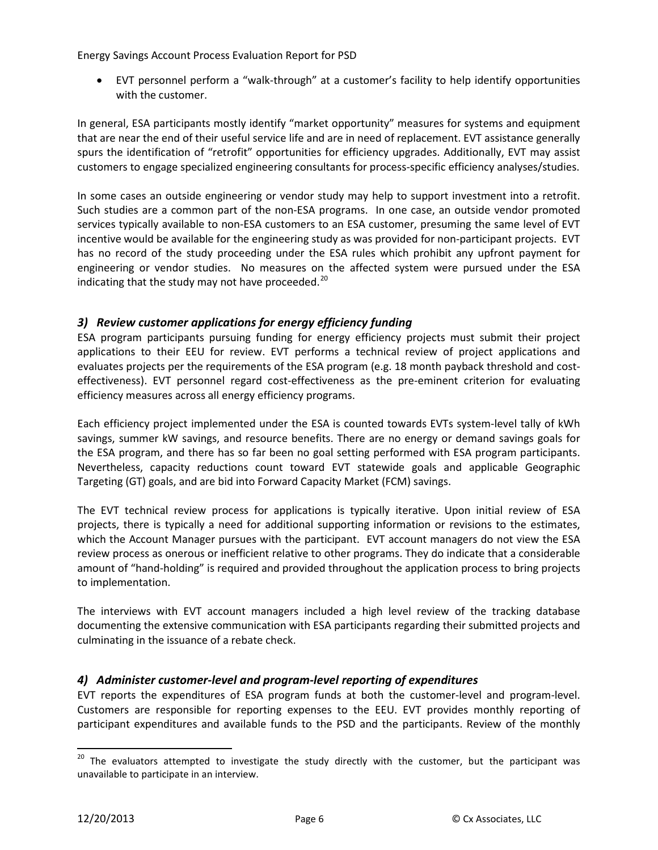• EVT personnel perform a "walk-through" at a customer's facility to help identify opportunities with the customer.

In general, ESA participants mostly identify "market opportunity" measures for systems and equipment that are near the end of their useful service life and are in need of replacement. EVT assistance generally spurs the identification of "retrofit" opportunities for efficiency upgrades. Additionally, EVT may assist customers to engage specialized engineering consultants for process-specific efficiency analyses/studies.

In some cases an outside engineering or vendor study may help to support investment into a retrofit. Such studies are a common part of the non-ESA programs. In one case, an outside vendor promoted services typically available to non-ESA customers to an ESA customer, presuming the same level of EVT incentive would be available for the engineering study as was provided for non-participant projects. EVT has no record of the study proceeding under the ESA rules which prohibit any upfront payment for engineering or vendor studies. No measures on the affected system were pursued under the ESA indicating that the study may not have proceeded. $^{20}$  $^{20}$  $^{20}$ 

#### *3) Review customer applications for energy efficiency funding*

ESA program participants pursuing funding for energy efficiency projects must submit their project applications to their EEU for review. EVT performs a technical review of project applications and evaluates projects per the requirements of the ESA program (e.g. 18 month payback threshold and costeffectiveness). EVT personnel regard cost-effectiveness as the pre-eminent criterion for evaluating efficiency measures across all energy efficiency programs.

Each efficiency project implemented under the ESA is counted towards EVTs system-level tally of kWh savings, summer kW savings, and resource benefits. There are no energy or demand savings goals for the ESA program, and there has so far been no goal setting performed with ESA program participants. Nevertheless, capacity reductions count toward EVT statewide goals and applicable Geographic Targeting (GT) goals, and are bid into Forward Capacity Market (FCM) savings.

The EVT technical review process for applications is typically iterative. Upon initial review of ESA projects, there is typically a need for additional supporting information or revisions to the estimates, which the Account Manager pursues with the participant. EVT account managers do not view the ESA review process as onerous or inefficient relative to other programs. They do indicate that a considerable amount of "hand-holding" is required and provided throughout the application process to bring projects to implementation.

The interviews with EVT account managers included a high level review of the tracking database documenting the extensive communication with ESA participants regarding their submitted projects and culminating in the issuance of a rebate check.

#### *4) Administer customer-level and program-level reporting of expenditures*

EVT reports the expenditures of ESA program funds at both the customer-level and program-level. Customers are responsible for reporting expenses to the EEU. EVT provides monthly reporting of participant expenditures and available funds to the PSD and the participants. Review of the monthly

<span id="page-7-0"></span><sup>&</sup>lt;sup>20</sup> The evaluators attempted to investigate the study directly with the customer, but the participant was unavailable to participate in an interview.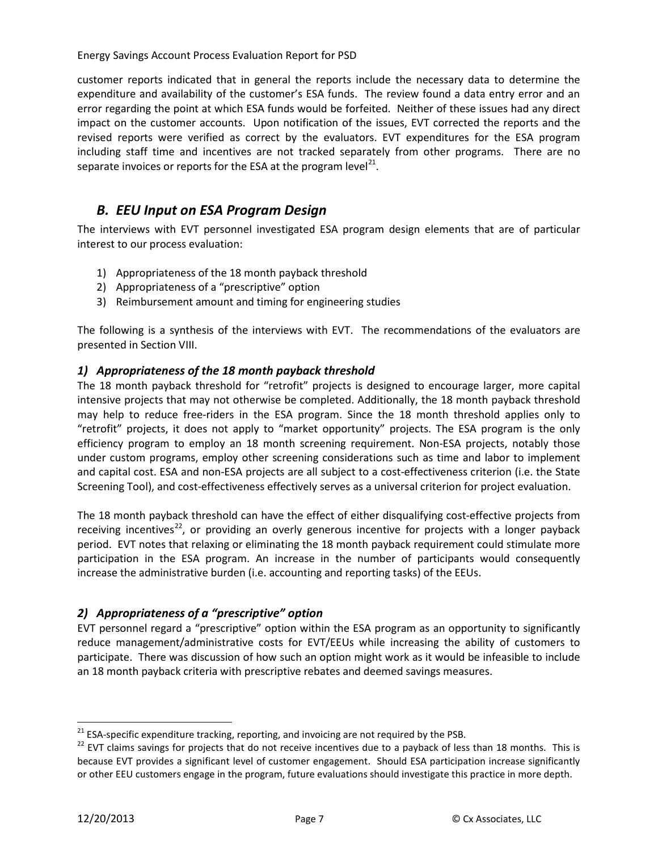customer reports indicated that in general the reports include the necessary data to determine the expenditure and availability of the customer's ESA funds. The review found a data entry error and an error regarding the point at which ESA funds would be forfeited. Neither of these issues had any direct impact on the customer accounts. Upon notification of the issues, EVT corrected the reports and the revised reports were verified as correct by the evaluators. EVT expenditures for the ESA program including staff time and incentives are not tracked separately from other programs. There are no separate invoices or reports for the ESA at the program level $^{21}$ .

#### <span id="page-8-0"></span>*B. EEU Input on ESA Program Design*

The interviews with EVT personnel investigated ESA program design elements that are of particular interest to our process evaluation:

- 1) Appropriateness of the 18 month payback threshold
- 2) Appropriateness of a "prescriptive" option
- 3) Reimbursement amount and timing for engineering studies

The following is a synthesis of the interviews with EVT. The recommendations of the evaluators are presented in Section [VIII.](#page-15-0)

#### *1) Appropriateness of the 18 month payback threshold*

The 18 month payback threshold for "retrofit" projects is designed to encourage larger, more capital intensive projects that may not otherwise be completed. Additionally, the 18 month payback threshold may help to reduce free-riders in the ESA program. Since the 18 month threshold applies only to "retrofit" projects, it does not apply to "market opportunity" projects. The ESA program is the only efficiency program to employ an 18 month screening requirement. Non-ESA projects, notably those under custom programs, employ other screening considerations such as time and labor to implement and capital cost. ESA and non-ESA projects are all subject to a cost-effectiveness criterion (i.e. the State Screening Tool), and cost-effectiveness effectively serves as a universal criterion for project evaluation.

The 18 month payback threshold can have the effect of either disqualifying cost-effective projects from receiving incentives<sup>22</sup>, or providing an overly generous incentive for projects with a longer payback period. EVT notes that relaxing or eliminating the 18 month payback requirement could stimulate more participation in the ESA program. An increase in the number of participants would consequently increase the administrative burden (i.e. accounting and reporting tasks) of the EEUs.

#### *2) Appropriateness of a "prescriptive" option*

EVT personnel regard a "prescriptive" option within the ESA program as an opportunity to significantly reduce management/administrative costs for EVT/EEUs while increasing the ability of customers to participate. There was discussion of how such an option might work as it would be infeasible to include an 18 month payback criteria with prescriptive rebates and deemed savings measures.

<span id="page-8-2"></span><span id="page-8-1"></span><sup>&</sup>lt;sup>21</sup> ESA-specific expenditure tracking, reporting, and invoicing are not required by the PSB.<br><sup>22</sup> EVT claims savings for projects that do not receive incentives due to a payback of less than 18 months. This is because EVT provides a significant level of customer engagement. Should ESA participation increase significantly or other EEU customers engage in the program, future evaluations should investigate this practice in more depth.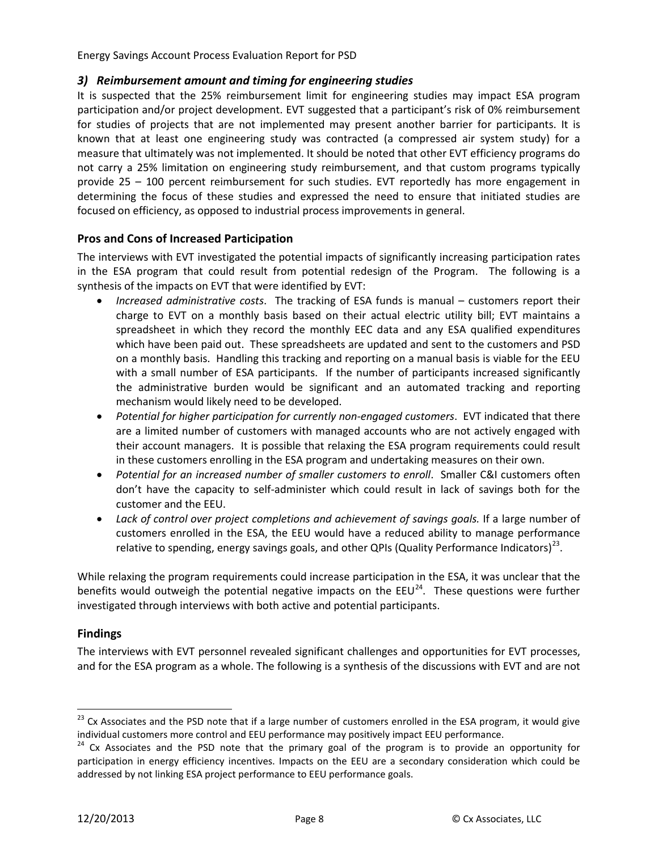#### *3) Reimbursement amount and timing for engineering studies*

It is suspected that the 25% reimbursement limit for engineering studies may impact ESA program participation and/or project development. EVT suggested that a participant's risk of 0% reimbursement for studies of projects that are not implemented may present another barrier for participants. It is known that at least one engineering study was contracted (a compressed air system study) for a measure that ultimately was not implemented. It should be noted that other EVT efficiency programs do not carry a 25% limitation on engineering study reimbursement, and that custom programs typically provide 25 – 100 percent reimbursement for such studies. EVT reportedly has more engagement in determining the focus of these studies and expressed the need to ensure that initiated studies are focused on efficiency, as opposed to industrial process improvements in general.

#### **Pros and Cons of Increased Participation**

The interviews with EVT investigated the potential impacts of significantly increasing participation rates in the ESA program that could result from potential redesign of the Program. The following is a synthesis of the impacts on EVT that were identified by EVT:

- *Increased administrative costs*. The tracking of ESA funds is manual customers report their charge to EVT on a monthly basis based on their actual electric utility bill; EVT maintains a spreadsheet in which they record the monthly EEC data and any ESA qualified expenditures which have been paid out. These spreadsheets are updated and sent to the customers and PSD on a monthly basis. Handling this tracking and reporting on a manual basis is viable for the EEU with a small number of ESA participants. If the number of participants increased significantly the administrative burden would be significant and an automated tracking and reporting mechanism would likely need to be developed.
- *Potential for higher participation for currently non-engaged customers*. EVT indicated that there are a limited number of customers with managed accounts who are not actively engaged with their account managers. It is possible that relaxing the ESA program requirements could result in these customers enrolling in the ESA program and undertaking measures on their own.
- *Potential for an increased number of smaller customers to enroll*. Smaller C&I customers often don't have the capacity to self-administer which could result in lack of savings both for the customer and the EEU.
- *Lack of control over project completions and achievement of savings goals.* If a large number of customers enrolled in the ESA, the EEU would have a reduced ability to manage performance relative to spending, energy savings goals, and other QPIs (Quality Performance Indicators)<sup>[23](#page-9-0)</sup>.

While relaxing the program requirements could increase participation in the ESA, it was unclear that the benefits would outweigh the potential negative impacts on the  $EUV^{24}$  $EUV^{24}$  $EUV^{24}$ . These questions were further investigated through interviews with both active and potential participants.

#### **Findings**

The interviews with EVT personnel revealed significant challenges and opportunities for EVT processes, and for the ESA program as a whole. The following is a synthesis of the discussions with EVT and are not

<span id="page-9-0"></span><sup>&</sup>lt;sup>23</sup> Cx Associates and the PSD note that if a large number of customers enrolled in the ESA program, it would give individual customers more control and EEU performance may positively impact EEU performance.

<span id="page-9-1"></span><sup>&</sup>lt;sup>24</sup> Cx Associates and the PSD note that the primary goal of the program is to provide an opportunity for participation in energy efficiency incentives. Impacts on the EEU are a secondary consideration which could be addressed by not linking ESA project performance to EEU performance goals.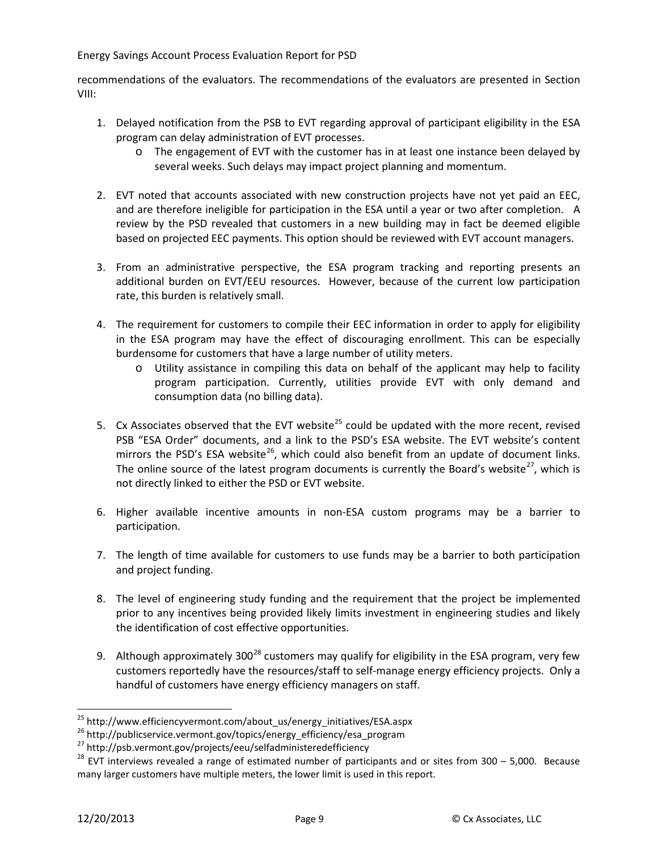recommendations of the evaluators. The recommendations of the evaluators are presented in Section [VIII:](#page-15-0)

- 1. Delayed notification from the PSB to EVT regarding approval of participant eligibility in the ESA program can delay administration of EVT processes.
	- o The engagement of EVT with the customer has in at least one instance been delayed by several weeks. Such delays may impact project planning and momentum.
- 2. EVT noted that accounts associated with new construction projects have not yet paid an EEC, and are therefore ineligible for participation in the ESA until a year or two after completion. A review by the PSD revealed that customers in a new building may in fact be deemed eligible based on projected EEC payments. This option should be reviewed with EVT account managers.
- 3. From an administrative perspective, the ESA program tracking and reporting presents an additional burden on EVT/EEU resources. However, because of the current low participation rate, this burden is relatively small.
- 4. The requirement for customers to compile their EEC information in order to apply for eligibility in the ESA program may have the effect of discouraging enrollment. This can be especially burdensome for customers that have a large number of utility meters.
	- o Utility assistance in compiling this data on behalf of the applicant may help to facility program participation. Currently, utilities provide EVT with only demand and consumption data (no billing data).
- 5. Cx Associates observed that the EVT website<sup>[25](#page-10-0)</sup> could be updated with the more recent, revised PSB "ESA Order" documents, and a link to the PSD's ESA website. The EVT website's content mirrors the PSD's ESA website<sup>[26](#page-10-1)</sup>, which could also benefit from an update of document links. The online source of the latest program documents is currently the Board's website<sup>[27](#page-10-2)</sup>, which is not directly linked to either the PSD or EVT website.
- 6. Higher available incentive amounts in non-ESA custom programs may be a barrier to participation.
- 7. The length of time available for customers to use funds may be a barrier to both participation and project funding.
- 8. The level of engineering study funding and the requirement that the project be implemented prior to any incentives being provided likely limits investment in engineering studies and likely the identification of cost effective opportunities.
- 9. Although approximately 300<sup>[28](#page-10-3)</sup> customers may qualify for eligibility in the ESA program, very few customers reportedly have the resources/staff to self-manage energy efficiency projects. Only a handful of customers have energy efficiency managers on staff.

<span id="page-10-3"></span><span id="page-10-2"></span>

<span id="page-10-1"></span><span id="page-10-0"></span><sup>&</sup>lt;sup>25</sup> http://www.efficiencyvermont.com/about\_us/energy\_initiatives/ESA.aspx<br><sup>26</sup> http://publicservice.vermont.gov/topics/energy\_efficiency/esa\_program<br><sup>27</sup> http://psb.vermont.gov/projects/eeu/selfadministeredefficiency<br><sup>28</sup> many larger customers have multiple meters, the lower limit is used in this report.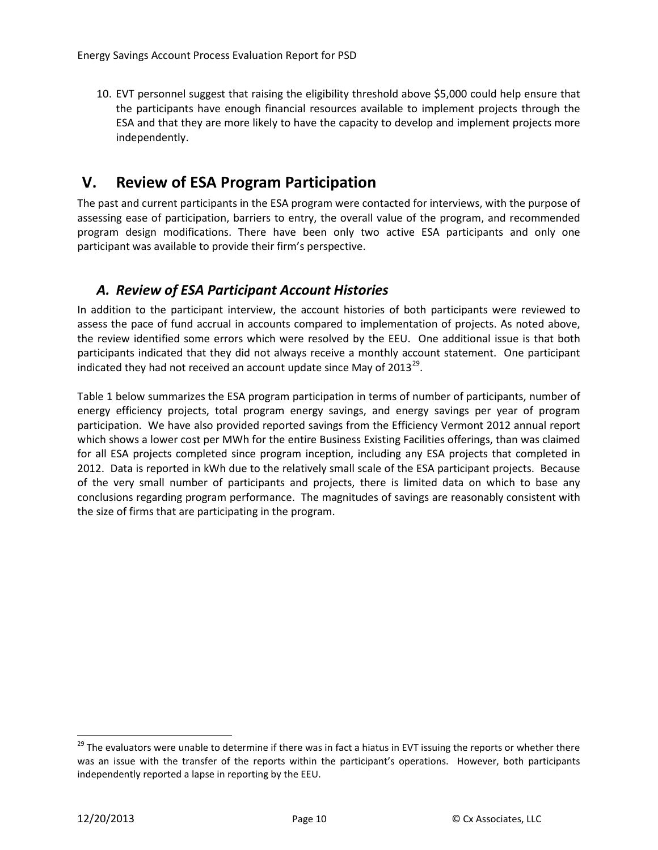10. EVT personnel suggest that raising the eligibility threshold above \$5,000 could help ensure that the participants have enough financial resources available to implement projects through the ESA and that they are more likely to have the capacity to develop and implement projects more independently.

## <span id="page-11-0"></span>**V. Review of ESA Program Participation**

The past and current participants in the ESA program were contacted for interviews, with the purpose of assessing ease of participation, barriers to entry, the overall value of the program, and recommended program design modifications. There have been only two active ESA participants and only one participant was available to provide their firm's perspective.

### <span id="page-11-1"></span>*A. Review of ESA Participant Account Histories*

In addition to the participant interview, the account histories of both participants were reviewed to assess the pace of fund accrual in accounts compared to implementation of projects. As noted above, the review identified some errors which were resolved by the EEU. One additional issue is that both participants indicated that they did not always receive a monthly account statement. One participant indicated they had not received an account update since May of  $2013^{29}$ .

Table 1 below summarizes the ESA program participation in terms of number of participants, number of energy efficiency projects, total program energy savings, and energy savings per year of program participation. We have also provided reported savings from the Efficiency Vermont 2012 annual report which shows a lower cost per MWh for the entire Business Existing Facilities offerings, than was claimed for all ESA projects completed since program inception, including any ESA projects that completed in 2012. Data is reported in kWh due to the relatively small scale of the ESA participant projects. Because of the very small number of participants and projects, there is limited data on which to base any conclusions regarding program performance. The magnitudes of savings are reasonably consistent with the size of firms that are participating in the program.

<span id="page-11-2"></span><sup>&</sup>lt;sup>29</sup> The evaluators were unable to determine if there was in fact a hiatus in EVT issuing the reports or whether there was an issue with the transfer of the reports within the participant's operations. However, both participants independently reported a lapse in reporting by the EEU.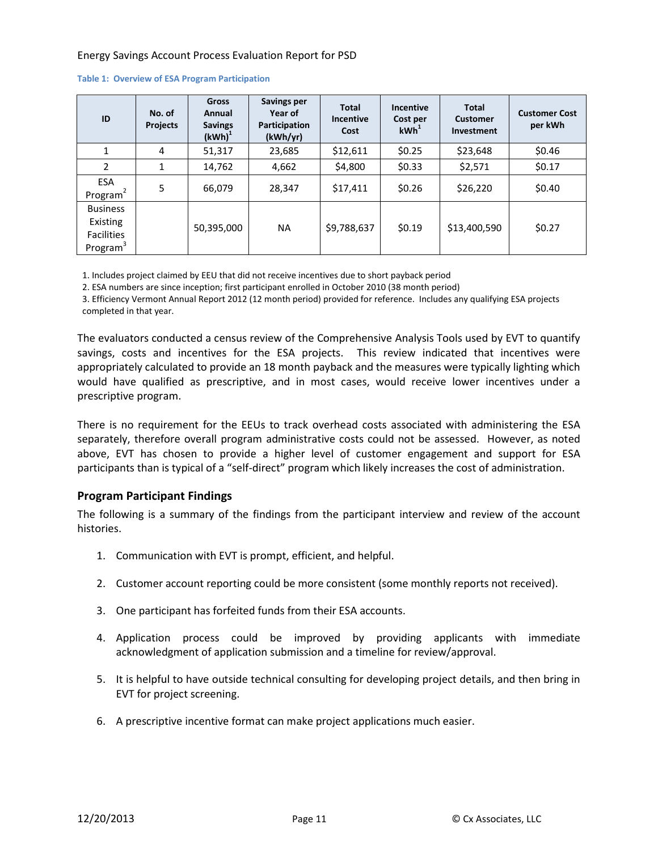| ID                                                                       | No. of<br><b>Projects</b> | <b>Gross</b><br>Annual<br><b>Savings</b><br>$(kWh)^1$ | Savings per<br>Year of<br>Participation<br>(kWh/yr) | <b>Total</b><br><b>Incentive</b><br>Cost | <b>Incentive</b><br>Cost per<br>kWh <sup>1</sup> | <b>Total</b><br><b>Customer</b><br>Investment | <b>Customer Cost</b><br>per kWh |
|--------------------------------------------------------------------------|---------------------------|-------------------------------------------------------|-----------------------------------------------------|------------------------------------------|--------------------------------------------------|-----------------------------------------------|---------------------------------|
| 1                                                                        | 4                         | 51,317                                                | 23,685                                              | \$12,611                                 | \$0.25                                           | \$23,648                                      | \$0.46                          |
| 2                                                                        | 1                         | 14,762                                                | 4,662                                               | \$4,800                                  | \$0.33                                           | \$2,571                                       | \$0.17                          |
| ESA<br>Program $2$                                                       | 5                         | 66,079                                                | 28,347                                              | \$17,411                                 | \$0.26                                           | \$26,220                                      | \$0.40                          |
| <b>Business</b><br>Existing<br><b>Facilities</b><br>Program <sup>3</sup> |                           | 50,395,000                                            | <b>NA</b>                                           | \$9,788,637                              | \$0.19                                           | \$13,400,590                                  | \$0.27                          |

#### **Table 1: Overview of ESA Program Participation**

1. Includes project claimed by EEU that did not receive incentives due to short payback period

2. ESA numbers are since inception; first participant enrolled in October 2010 (38 month period)

3. Efficiency Vermont Annual Report 2012 (12 month period) provided for reference. Includes any qualifying ESA projects completed in that year.

The evaluators conducted a census review of the Comprehensive Analysis Tools used by EVT to quantify savings, costs and incentives for the ESA projects. This review indicated that incentives were appropriately calculated to provide an 18 month payback and the measures were typically lighting which would have qualified as prescriptive, and in most cases, would receive lower incentives under a prescriptive program.

There is no requirement for the EEUs to track overhead costs associated with administering the ESA separately, therefore overall program administrative costs could not be assessed. However, as noted above, EVT has chosen to provide a higher level of customer engagement and support for ESA participants than is typical of a "self-direct" program which likely increases the cost of administration.

#### **Program Participant Findings**

The following is a summary of the findings from the participant interview and review of the account histories.

- 1. Communication with EVT is prompt, efficient, and helpful.
- 2. Customer account reporting could be more consistent (some monthly reports not received).
- 3. One participant has forfeited funds from their ESA accounts.
- 4. Application process could be improved by providing applicants with immediate acknowledgment of application submission and a timeline for review/approval.
- 5. It is helpful to have outside technical consulting for developing project details, and then bring in EVT for project screening.
- 6. A prescriptive incentive format can make project applications much easier.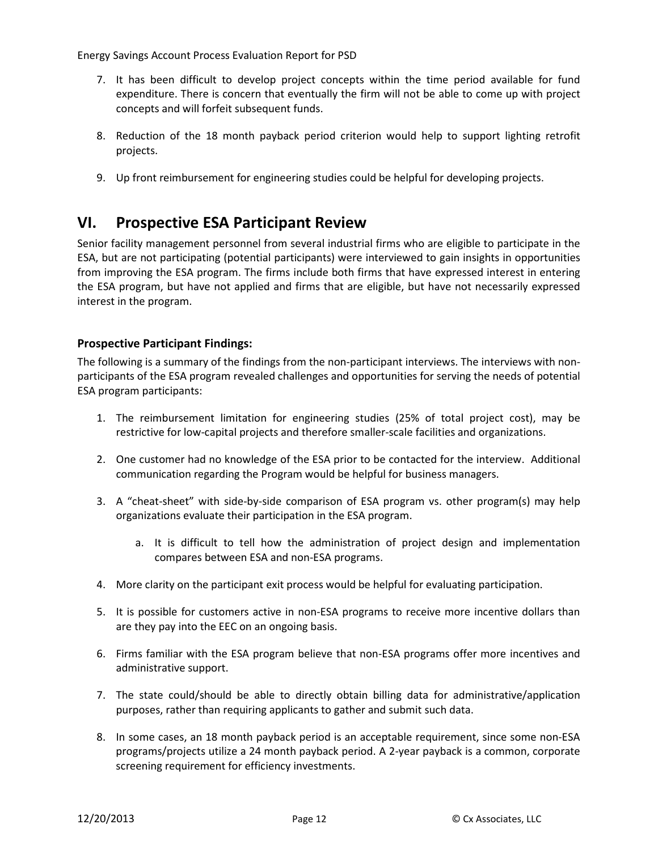- 7. It has been difficult to develop project concepts within the time period available for fund expenditure. There is concern that eventually the firm will not be able to come up with project concepts and will forfeit subsequent funds.
- 8. Reduction of the 18 month payback period criterion would help to support lighting retrofit projects.
- 9. Up front reimbursement for engineering studies could be helpful for developing projects.

## <span id="page-13-0"></span>**VI. Prospective ESA Participant Review**

Senior facility management personnel from several industrial firms who are eligible to participate in the ESA, but are not participating (potential participants) were interviewed to gain insights in opportunities from improving the ESA program. The firms include both firms that have expressed interest in entering the ESA program, but have not applied and firms that are eligible, but have not necessarily expressed interest in the program.

#### **Prospective Participant Findings:**

The following is a summary of the findings from the non-participant interviews. The interviews with nonparticipants of the ESA program revealed challenges and opportunities for serving the needs of potential ESA program participants:

- 1. The reimbursement limitation for engineering studies (25% of total project cost), may be restrictive for low-capital projects and therefore smaller-scale facilities and organizations.
- 2. One customer had no knowledge of the ESA prior to be contacted for the interview. Additional communication regarding the Program would be helpful for business managers.
- 3. A "cheat-sheet" with side-by-side comparison of ESA program vs. other program(s) may help organizations evaluate their participation in the ESA program.
	- a. It is difficult to tell how the administration of project design and implementation compares between ESA and non-ESA programs.
- 4. More clarity on the participant exit process would be helpful for evaluating participation.
- 5. It is possible for customers active in non-ESA programs to receive more incentive dollars than are they pay into the EEC on an ongoing basis.
- 6. Firms familiar with the ESA program believe that non-ESA programs offer more incentives and administrative support.
- 7. The state could/should be able to directly obtain billing data for administrative/application purposes, rather than requiring applicants to gather and submit such data.
- 8. In some cases, an 18 month payback period is an acceptable requirement, since some non-ESA programs/projects utilize a 24 month payback period. A 2-year payback is a common, corporate screening requirement for efficiency investments.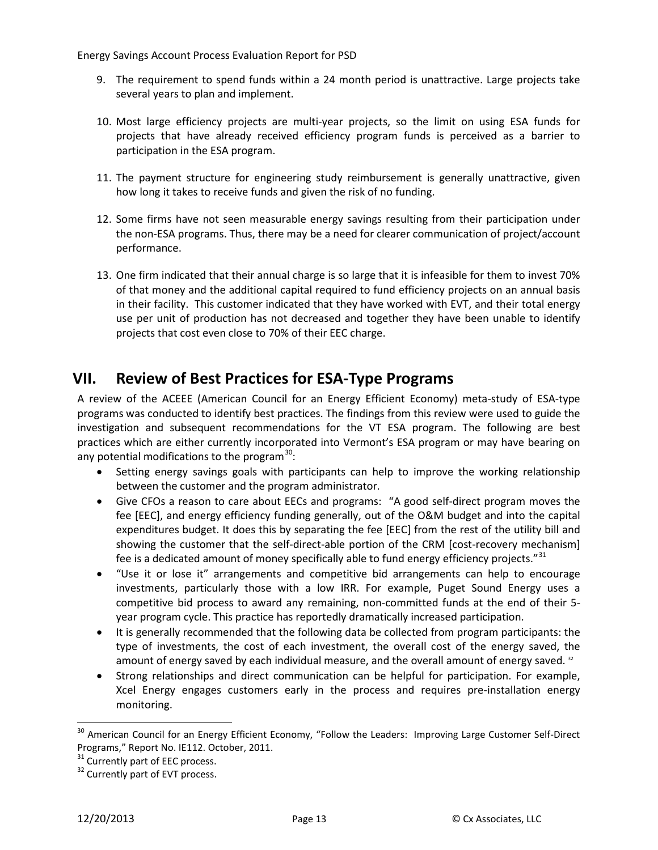- 9. The requirement to spend funds within a 24 month period is unattractive. Large projects take several years to plan and implement.
- 10. Most large efficiency projects are multi-year projects, so the limit on using ESA funds for projects that have already received efficiency program funds is perceived as a barrier to participation in the ESA program.
- 11. The payment structure for engineering study reimbursement is generally unattractive, given how long it takes to receive funds and given the risk of no funding.
- 12. Some firms have not seen measurable energy savings resulting from their participation under the non-ESA programs. Thus, there may be a need for clearer communication of project/account performance.
- 13. One firm indicated that their annual charge is so large that it is infeasible for them to invest 70% of that money and the additional capital required to fund efficiency projects on an annual basis in their facility. This customer indicated that they have worked with EVT, and their total energy use per unit of production has not decreased and together they have been unable to identify projects that cost even close to 70% of their EEC charge.

## <span id="page-14-0"></span>**VII. Review of Best Practices for ESA-Type Programs**

A review of the ACEEE (American Council for an Energy Efficient Economy) meta-study of ESA-type programs was conducted to identify best practices. The findings from this review were used to guide the investigation and subsequent recommendations for the VT ESA program. The following are best practices which are either currently incorporated into Vermont's ESA program or may have bearing on any potential modifications to the program<sup>[30](#page-14-1)</sup>:

- Setting energy savings goals with participants can help to improve the working relationship between the customer and the program administrator.
- Give CFOs a reason to care about EECs and programs: "A good self-direct program moves the fee [EEC], and energy efficiency funding generally, out of the O&M budget and into the capital expenditures budget. It does this by separating the fee [EEC] from the rest of the utility bill and showing the customer that the self-direct-able portion of the CRM [cost-recovery mechanism] fee is a dedicated amount of money specifically able to fund energy efficiency projects."<sup>[31](#page-14-2)</sup>
- "Use it or lose it" arrangements and competitive bid arrangements can help to encourage investments, particularly those with a low IRR. For example, Puget Sound Energy uses a competitive bid process to award any remaining, non-committed funds at the end of their 5 year program cycle. This practice has reportedly dramatically increased participation.
- It is generally recommended that the following data be collected from program participants: the type of investments, the cost of each investment, the overall cost of the energy saved, the amount of energy saved by each individual measure, and the overall amount of energy saved. [32](#page-14-3)
- Strong relationships and direct communication can be helpful for participation. For example, Xcel Energy engages customers early in the process and requires pre-installation energy monitoring.

<span id="page-14-1"></span><sup>&</sup>lt;sup>30</sup> American Council for an Energy Efficient Economy, "Follow the Leaders: Improving Large Customer Self-Direct Programs," Report No. IE112. October, 2011.

<span id="page-14-3"></span><span id="page-14-2"></span> $31$  Currently part of EEC process.<br> $32$  Currently part of EVT process.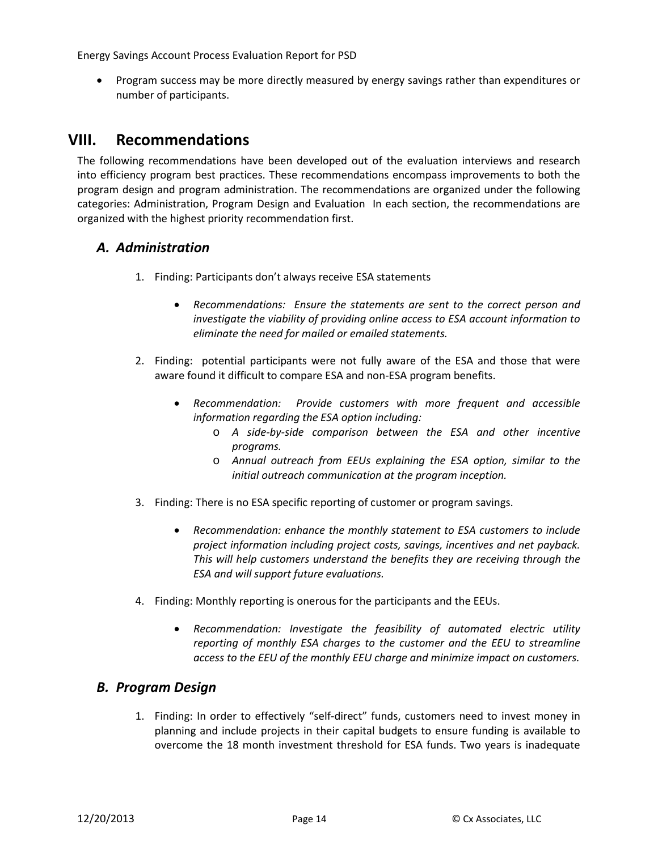• Program success may be more directly measured by energy savings rather than expenditures or number of participants.

## <span id="page-15-0"></span>**VIII. Recommendations**

The following recommendations have been developed out of the evaluation interviews and research into efficiency program best practices. These recommendations encompass improvements to both the program design and program administration. The recommendations are organized under the following categories: Administration, Program Design and Evaluation In each section, the recommendations are organized with the highest priority recommendation first.

#### <span id="page-15-1"></span>*A. Administration*

- 1. Finding: Participants don't always receive ESA statements
	- *Recommendations: Ensure the statements are sent to the correct person and investigate the viability of providing online access to ESA account information to eliminate the need for mailed or emailed statements.*
- 2. Finding: potential participants were not fully aware of the ESA and those that were aware found it difficult to compare ESA and non-ESA program benefits.
	- *Recommendation: Provide customers with more frequent and accessible information regarding the ESA option including:*
		- o *A side-by-side comparison between the ESA and other incentive programs.*
		- o *Annual outreach from EEUs explaining the ESA option, similar to the initial outreach communication at the program inception.*
- 3. Finding: There is no ESA specific reporting of customer or program savings.
	- *Recommendation: enhance the monthly statement to ESA customers to include project information including project costs, savings, incentives and net payback. This will help customers understand the benefits they are receiving through the ESA and will support future evaluations.*
- 4. Finding: Monthly reporting is onerous for the participants and the EEUs.
	- *Recommendation: Investigate the feasibility of automated electric utility reporting of monthly ESA charges to the customer and the EEU to streamline access to the EEU of the monthly EEU charge and minimize impact on customers.*

#### <span id="page-15-2"></span>*B. Program Design*

1. Finding: In order to effectively "self-direct" funds, customers need to invest money in planning and include projects in their capital budgets to ensure funding is available to overcome the 18 month investment threshold for ESA funds. Two years is inadequate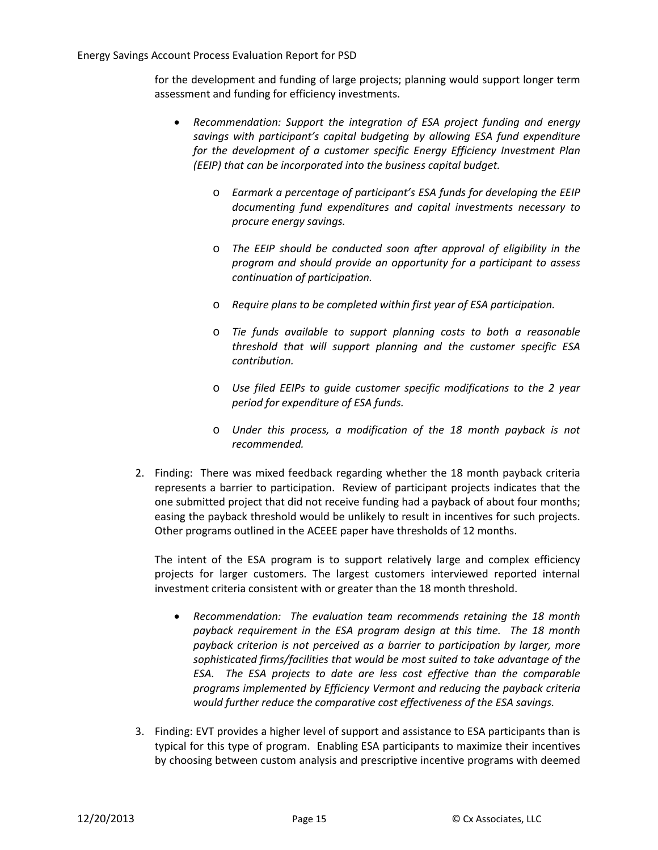for the development and funding of large projects; planning would support longer term assessment and funding for efficiency investments.

- *Recommendation: Support the integration of ESA project funding and energy savings with participant's capital budgeting by allowing ESA fund expenditure for the development of a customer specific Energy Efficiency Investment Plan (EEIP) that can be incorporated into the business capital budget.*
	- o *Earmark a percentage of participant's ESA funds for developing the EEIP documenting fund expenditures and capital investments necessary to procure energy savings.*
	- o *The EEIP should be conducted soon after approval of eligibility in the program and should provide an opportunity for a participant to assess continuation of participation.*
	- o *Require plans to be completed within first year of ESA participation.*
	- o *Tie funds available to support planning costs to both a reasonable threshold that will support planning and the customer specific ESA contribution.*
	- o *Use filed EEIPs to guide customer specific modifications to the 2 year period for expenditure of ESA funds.*
	- o *Under this process, a modification of the 18 month payback is not recommended.*
- 2. Finding: There was mixed feedback regarding whether the 18 month payback criteria represents a barrier to participation. Review of participant projects indicates that the one submitted project that did not receive funding had a payback of about four months; easing the payback threshold would be unlikely to result in incentives for such projects. Other programs outlined in the ACEEE paper have thresholds of 12 months.

The intent of the ESA program is to support relatively large and complex efficiency projects for larger customers. The largest customers interviewed reported internal investment criteria consistent with or greater than the 18 month threshold.

- *Recommendation: The evaluation team recommends retaining the 18 month payback requirement in the ESA program design at this time. The 18 month payback criterion is not perceived as a barrier to participation by larger, more sophisticated firms/facilities that would be most suited to take advantage of the ESA. The ESA projects to date are less cost effective than the comparable programs implemented by Efficiency Vermont and reducing the payback criteria would further reduce the comparative cost effectiveness of the ESA savings.*
- 3. Finding: EVT provides a higher level of support and assistance to ESA participants than is typical for this type of program. Enabling ESA participants to maximize their incentives by choosing between custom analysis and prescriptive incentive programs with deemed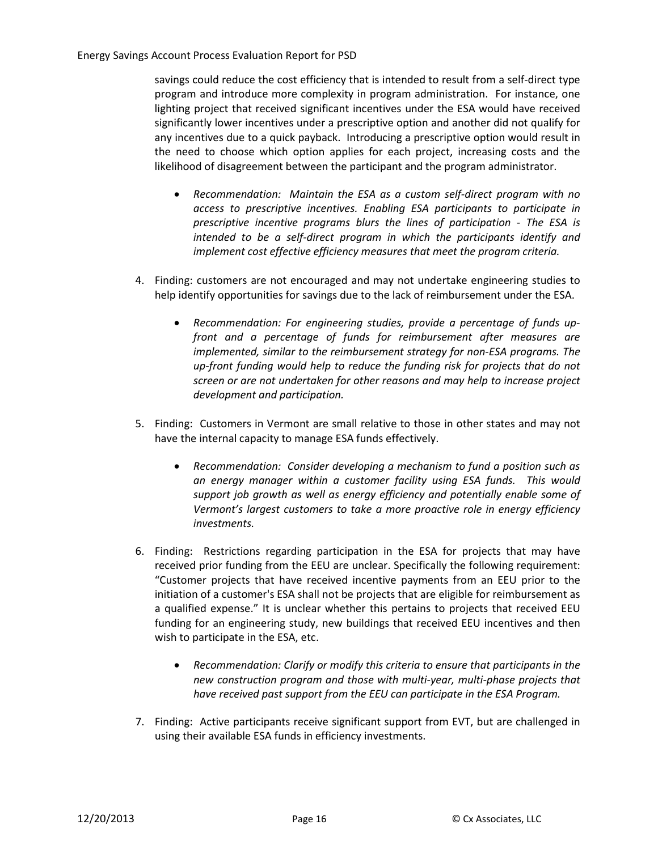savings could reduce the cost efficiency that is intended to result from a self-direct type program and introduce more complexity in program administration. For instance, one lighting project that received significant incentives under the ESA would have received significantly lower incentives under a prescriptive option and another did not qualify for any incentives due to a quick payback. Introducing a prescriptive option would result in the need to choose which option applies for each project, increasing costs and the likelihood of disagreement between the participant and the program administrator.

- *Recommendation: Maintain the ESA as a custom self-direct program with no access to prescriptive incentives. Enabling ESA participants to participate in prescriptive incentive programs blurs the lines of participation - The ESA is intended to be a self-direct program in which the participants identify and implement cost effective efficiency measures that meet the program criteria.*
- 4. Finding: customers are not encouraged and may not undertake engineering studies to help identify opportunities for savings due to the lack of reimbursement under the ESA.
	- *Recommendation: For engineering studies, provide a percentage of funds upfront and a percentage of funds for reimbursement after measures are implemented, similar to the reimbursement strategy for non-ESA programs. The up-front funding would help to reduce the funding risk for projects that do not screen or are not undertaken for other reasons and may help to increase project development and participation.*
- 5. Finding: Customers in Vermont are small relative to those in other states and may not have the internal capacity to manage ESA funds effectively.
	- *Recommendation: Consider developing a mechanism to fund a position such as an energy manager within a customer facility using ESA funds. This would support job growth as well as energy efficiency and potentially enable some of Vermont's largest customers to take a more proactive role in energy efficiency investments.*
- 6. Finding: Restrictions regarding participation in the ESA for projects that may have received prior funding from the EEU are unclear. Specifically the following requirement: "Customer projects that have received incentive payments from an EEU prior to the initiation of a customer's ESA shall not be projects that are eligible for reimbursement as a qualified expense." It is unclear whether this pertains to projects that received EEU funding for an engineering study, new buildings that received EEU incentives and then wish to participate in the ESA, etc.
	- *Recommendation: Clarify or modify this criteria to ensure that participants in the new construction program and those with multi-year, multi-phase projects that have received past support from the EEU can participate in the ESA Program.*
- 7. Finding: Active participants receive significant support from EVT, but are challenged in using their available ESA funds in efficiency investments.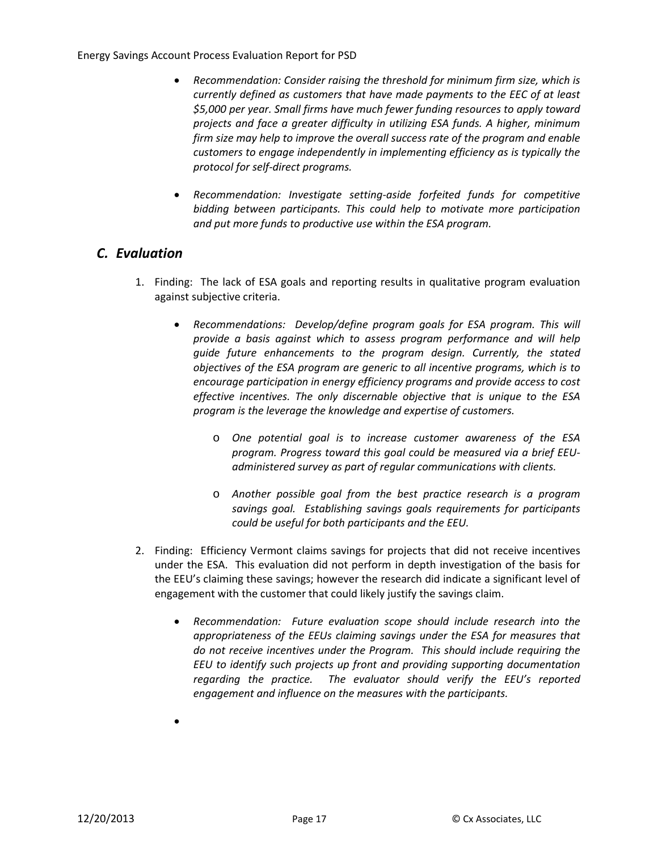- *Recommendation: Consider raising the threshold for minimum firm size, which is currently defined as customers that have made payments to the EEC of at least \$5,000 per year. Small firms have much fewer funding resources to apply toward projects and face a greater difficulty in utilizing ESA funds. A higher, minimum firm size may help to improve the overall success rate of the program and enable customers to engage independently in implementing efficiency as is typically the protocol for self-direct programs.*
- *Recommendation: Investigate setting-aside forfeited funds for competitive bidding between participants. This could help to motivate more participation and put more funds to productive use within the ESA program.*

#### <span id="page-18-0"></span>*C. Evaluation*

- 1. Finding: The lack of ESA goals and reporting results in qualitative program evaluation against subjective criteria.
	- *Recommendations: Develop/define program goals for ESA program. This will provide a basis against which to assess program performance and will help guide future enhancements to the program design. Currently, the stated objectives of the ESA program are generic to all incentive programs, which is to encourage participation in energy efficiency programs and provide access to cost effective incentives. The only discernable objective that is unique to the ESA program is the leverage the knowledge and expertise of customers.*
		- o *One potential goal is to increase customer awareness of the ESA program. Progress toward this goal could be measured via a brief EEUadministered survey as part of regular communications with clients.*
		- o *Another possible goal from the best practice research is a program savings goal. Establishing savings goals requirements for participants could be useful for both participants and the EEU.*
- 2. Finding: Efficiency Vermont claims savings for projects that did not receive incentives under the ESA. This evaluation did not perform in depth investigation of the basis for the EEU's claiming these savings; however the research did indicate a significant level of engagement with the customer that could likely justify the savings claim.
	- *Recommendation: Future evaluation scope should include research into the appropriateness of the EEUs claiming savings under the ESA for measures that do not receive incentives under the Program. This should include requiring the EEU to identify such projects up front and providing supporting documentation regarding the practice. The evaluator should verify the EEU's reported engagement and influence on the measures with the participants.*
	- •